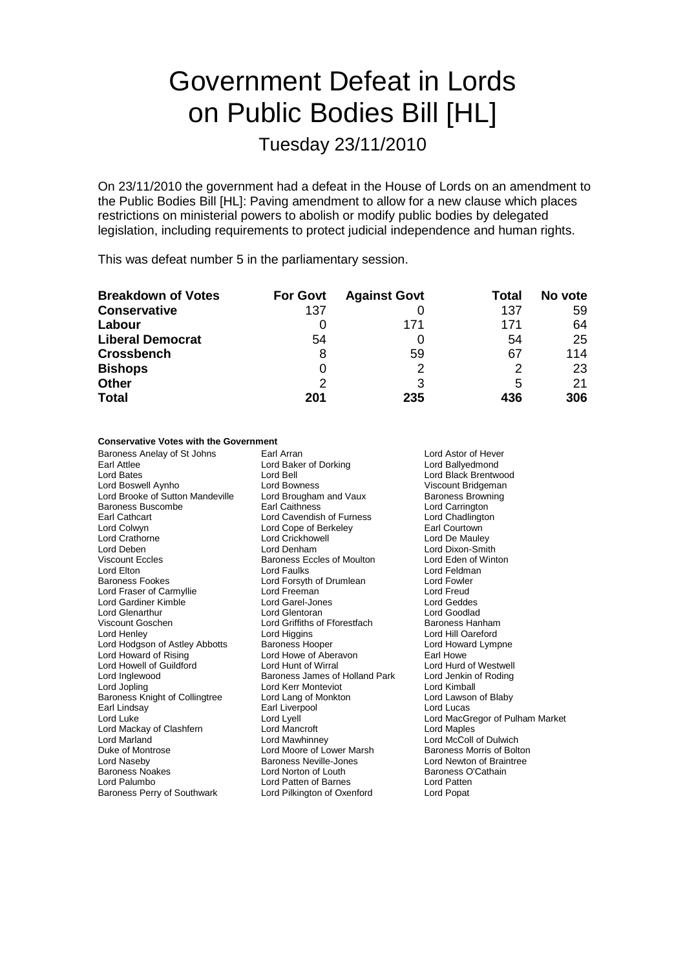# Government Defeat in Lords on Public Bodies Bill [HL]

Tuesday 23/11/2010

On 23/11/2010 the government had a defeat in the House of Lords on an amendment to the Public Bodies Bill [HL]: Paving amendment to allow for a new clause which places restrictions on ministerial powers to abolish or modify public bodies by delegated legislation, including requirements to protect judicial independence and human rights.

This was defeat number 5 in the parliamentary session.

| <b>Breakdown of Votes</b> | <b>For Govt</b> | <b>Against Govt</b> | Total | No vote |
|---------------------------|-----------------|---------------------|-------|---------|
| <b>Conservative</b>       | 137             |                     | 137   | 59      |
| Labour                    |                 | 171                 | 171   | 64      |
| <b>Liberal Democrat</b>   | 54              |                     | 54    | 25      |
| <b>Crossbench</b>         | 8               | 59                  | 67    | 114     |
| <b>Bishops</b>            |                 | っ                   |       | 23      |
| <b>Other</b>              | 2               | 3                   | 5     | 21      |
| <b>Total</b>              | 201             | 235                 | 436   | 306     |

#### **Conservative Votes with the Government**

Baroness Anelay of St Johns Earl Arran Earl Arran Lord Astor of Hever Earl Attlee Lord Baker of Dorking Lord Ballyedmond<br>
Lord Bates Lord Ball Lord Ball Lord Back Brentwi Lord Bates Lord Bell Lord Bell Lord Back Brentwood<br>
Lord Boxwell Avnho Lord Bowness Lord Boxwell Avnho Lord Boxwess Lord Bridgeman Lord Brooke of Sutton Mandeville Lord Brougham and Vaux Baroness Buscombe **Earl Caithness** Earl Caithness **Lord Carrington**<br>
Earl Cathcart **Earl Caithness** Lord Cavendish of Furness **Earl Chadington** Earl Cathcart **Earl Cathcart** Lord Cavendish of Furness Lord Chadlingt<br>
Lord Colwyn **Lord Collumn Lord Collumn College College** Lord Collection Collection Collection Collection Collect<br>
Lord Collection Collection Collectio Lord Crathorne **Lord Crickhowell** Lord Crickhowell **Lord Crickhowell** Lord De Mauley<br>
Lord De Lord Denham
Lord De Lord Dixon-Smit Viscount Eccles Baroness Eccles of Moulton Lord Elton Lord Faulks Lord Feldman Baroness Fookes **Community Community Community** Lord Forsyth of Drumlean Lord Fowler<br>
Lord Fraser of Carmyllie **Lord Freeman** Lord Freud Lord Fraser of Carmyllie Lord Freeman Lord Freeman Lord Freud<br>Lord Gardiner Kimble Lord Gardiner Lord Gardiner Lord Gardiner Lord Gardiner Kimble **Lord Garel-Jones** Lord Glenarthur Lord Glentoran Lord Goodlad Viscount Goschen **Lord Griffiths of Fforestfach**<br> **Lord Henley** Lord Higgins Hanhamam Lord Hangins Lord Hodgson of Astley Abbotts Baroness Hooper Lord Howard Lympne Lord Howard of Rising Lord Howe of Aberavon<br>
Lord Howall of Guildford Lord Hunt of Wirral Lord Hunt of Westwell Lord Howell of Guildford Lord Hunt of Wirral Lord Hurd of Westwell Lord Jopling Lord Collingtree Lord Kerr Monteviot Lord Kimball<br>
Baroness Knight of Collingtree Lord Lang of Monkton Lord Lawson of Blaby Baroness Knight of Collingtree Lord Lang of Monkton<br>
Earl Lindsay Carl Liverpool Carl Lings and Lord Lucas Lord Luke Lord Lyell Lord MacGregor of Pulham Market Lord Mackay of Clashfern Lord Mancroft Lord Maples Lord Marland Lord Mawhinney Lord Market Lord McColl of Dulwich<br>
Lord Moore of Lower Marsh Baroness Morris of Bolton<br>
Duke of Montrose Lord Moore of Lower Marsh Baroness Morris of Bolton Lord Naseby Baroness Neville-Jones Lord Newton of Braintree Baroness Noakes **Lord Norton of Louth** Baroness O'Cathain

Lord Cope of Berkeley Baroness James of Holland Park Earl Liverpool Lord Moore of Lower Marsh Lord Palumbo **Lord Patten of Barnes** Lord Patten<br>
Baroness Perry of Southwark Lord Pilkington of Oxenford Lord Popat Baroness Perry of Southwark Lord Pilkington of Oxenford

Viscount Bridgeman<br>Baroness Browning Lord Dixon-Smith<br>Lord Eden of Winton Lord Hill Oareford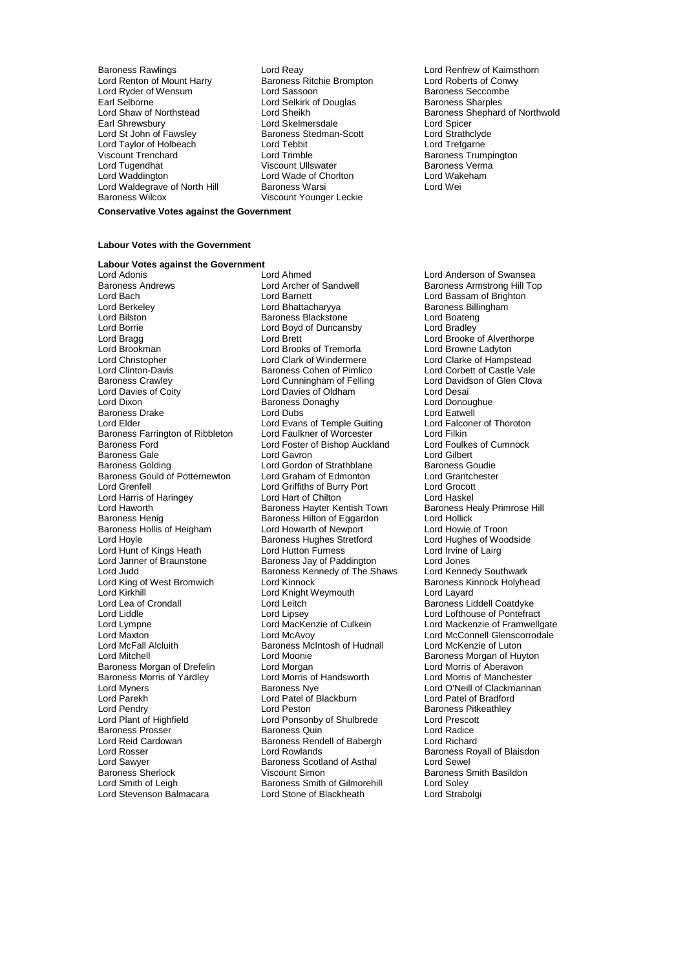Baroness Rawlings **Lord Reay Lord Reay** Lord Renfrew of Kaimsthorn<br>
Lord Renton of Mount Harry **Baroness Ritchie Brompton** Lord Roberts of Conwy Lord Renton of Mount Harry **Baroness Ritchie Brompton** Lord Roberts of Conv<br>
Lord Ryder of Wensum Lord Sassoon **Baroness Seccombe** Lord Ryder of Wensum Earl Selborne **Lord Selkirk of Douglas** Baroness Sharples<br>
Lord Shaw of Northstead **Lord Sheikh** Baroness Shepharo Land Shiphopary<br>Lord St John of Fawsley Lord Taylor of Holbeach Lord Tebbit Lord Trefgarne Lord Tugendhat Viscount Ullswater Baroness Verma Lord Waldegrave of North Hill<br>Baroness Wilcox

**Earl Shrewsbury Lord Spicer<br>
Earl Baroness Stedman-Scott** Lord Strathclyde Lord Trimble<br>
Viscount Ullswater<br>
Viscount Ullswater<br>
Baroness Verma Lord Wade of Chorlton Lord Wakeham<br>Baroness Warsi Lord Wei Viscount Younger Leckie

Lord Shaw of Northstead Lord Sheikh Corporation of Northwold<br>Earl Shrewsbury Lord Skelmersdale Lord Shephard of Northwold

### **Conservative Votes against the Government**

#### **Labour Votes with the Government**

## **Labour Votes against the Government**

Lord Borrie Lord Boyd of Duncansby Lord Brookman Lord Brooks of Tremorfa<br>
Lord Christopher Lord Clark of Windermere Lord Davies of Coity<br>
Lord Dixon<br>
Raroness Donaghy Baroness Gould of Potternewton Lord Haworth **Baroness Hayter Kentish Town**<br>Baroness Henig **Baroness Hillton** of Eggardon Lord Hunt of Kings Heath<br>Lord Janner of Braunstone Lord King of West Bromwich<br>Lord Kirkhill Baroness Morris of Yardley Lord Morris of Lord Morris of Lord Morris of Management Corresponding Management Co Lord Parekh Lord Patel of Blackburn<br>
Lord Pendry Lord Peston Lord Reid Cardowan Baroness Rendell of Babergh Lord Reid Cardowan Baroness Rendell of Babergh Lord Rosser Lord Sawyer **Baroness Scotland of Asthal Baroness Scotland of Asthal Baroness Scotland Scotland**<br>Baroness Sherlock **Communist Server Scotland Scotland Scotland** 

Lord Adonis **Lord Anderson of Swansea**<br>
Lord Anderson of Swansea<br>
Lord Archer of Sandwell **Lord Anderson Anders American** Baroness American Hill To Baroness Andrews **Example 2** Lord Archer of Sandwell **Baroness Armstrong Hill Top**<br>
Lord Barcher Lord Barnett Lord Barnett Lord Bassam of Brighton Lord Bach Lord Barnett Lord Barnett Lord Bassam of Brighton<br>
Lord Berkelev Lord Bhattacharvva Baroness Billingham Lord Berkeley **Lord Bhattacharyya** Baroness Billingham<br>
Lord Bilston **Baroness Blackstone Baroness Blackstone** Lord Boateng Exaroness Blackstone **Lord Boateng**<br>
Lord Bovd of Duncansby **Lord Bradley** Lord Bragg Lord Brett Lord Brett Lord Brooke of Alverthorpe<br>
Lord Brookman Lord Brooks of Tremorfa Lord Browne Ladvton Lord Christopher Lord Clark of Windermere Lord Clarke of Hampstead Lord Clinton-Davis Baroness Cohen of Pimlico Lord Corbett of Castle Vale Baroness Crawley **Lord Cunningham of Felling Cloval Cloval Cord Canningham of Felling** Cloval Devidson Lord Desai<br>
Lord Davies of Coity Cord Cord Davies of Oldham Raroness Donaghy **Lord Donoughue** Baroness Drake **Lord Dubs** Cord Extendion Cord Eatwell<br>
Lord Elder Cord Evans of Temple Guiting Lord Falconer of Thoroton Lord Evans of Temple Guiting Lord Ealconer Lord Falconer Cord Falconer Cord Filkin Baroness Farrington of Ribbleton Lord Faulkner of Worcester The Lord Filkin<br>Baroness Ford Cumnock Lord Foster of Bishop Auckland Lord Foulkes of Cumnock Lord Foster of Bishop Auckland Lord Foulke<br>
Lord Gavron Cumnock Lord Gilbert Baroness Gale **Calication Control Control Control** Lord Gilbert Lord Gilbert<br>Baroness Golding **Calication Control Control Control Control** Control Control Control Control Control Control C Lord Gordon of Strathblane Baroness Goudie<br>
Lord Graham of Edmonton Lord Grantchester Lord Grenfell Lord Griffiths of Burry Port Lord Grocott Lord Harris of Haringey **Lord Hart of Chilton**<br>
Lord Haworth **Chilton Lord Hart of Chilton Corporation**<br>
Lord Haworth Chilton Baroness Hayter Kentish Town Baroness Healy Primrose Hill Baroness Hilton of Eggardon Lord Hollick Baroness Hollis of Heigham Lord Howarth of Newport Lord Howie of Troon Baroness Hughes Stretford Lord Hughes of Wo<br>
Lord Hutton Furness Lord Irvine of Lairg Lord Janner of Braunstone **Baroness Jay of Paddington** Lord Jones<br>
Lord Judd Und Baroness Kennedy of The Shaws Lord Kennedy Southwark Baroness Kennedy of The Shaws Lord Kennedy Southwark<br>Lord Kinnock Lord Baroness Kinnock Holyhead Lord Kirkhill Lord Knight Weymouth Lord Lord Layard<br>Lord Lea of Crondall Lord Lord Leitch Lord Lea of Crondall Lord Lea Lea Lord Lea Lea Lea Lea Lord Lea Lord Le Lord Lea of Crondall Lord Leitch Baroness Liddell Coatdyke Lord Liddle Lord Lipsey Lord Lofthouse of Pontefract Lord Maxton Lord McAvoy Lord McConnell Glenscorrodale Lord McFall Alcluith **Baroness McIntosh of Hudnall** Lord McKenzie of Luton<br>Lord Mitchell Lord Moonie Cord Moonie **Baroness Morgan of Hu** Lord Moonie **Baroness Morgan of Huyton**<br>
Lord Morgan **Communist Communist Communist Communist Communist Communist Communist Communist Communist Communist Baroness Morgan of Drefelin** Lord Morgan Lord Morgan Lord Morris of Aberavon<br>Baroness Morris of Yardley Lord Morris of Handsworth Lord Morris of Manchester Lord Myners **Example 2** Corress Nye Lord O'Neill of Clackmannan<br>
Lord Parekh Lord Patel of Blackburn<br>
Lord Parekh Lord Pendry **Communist Communist Lord Peston** Baroness Pitkeathley<br>
Lord Plant of Highfield **Baroness Pitkeathley**<br>
Lord Plant of Highfield **Baroness Pitkeathley** Lord Ponsonby of Shulbrede Lord Prescott<br>
Baroness Quin<br>
Lord Radice Baroness Prosser **Baroness Quin**<br> **Baroness Rendell of Baberghanness Communist Communist Communist Party Rendell of Baberghanness Lord Richard** Lord Rosser **Lord Rowlands** Corporation Corporation Baroness Royall of Blaisdon<br>
Lord Sawyer **Baroness Scotland of Asthal** Corporation Corporation Baroness Sherlock **Viscount Simon** Baroness Smith Basildon<br>
Lord Smith of Leigh **Baroness Smith of Gilmorehill** Lord Soley Baroness Smith of Gilmorehill Lord Stevenson Balmacara Lord Stone of Blackheath Lord Strabolgi

Lord Mackenzie of Framwellgate